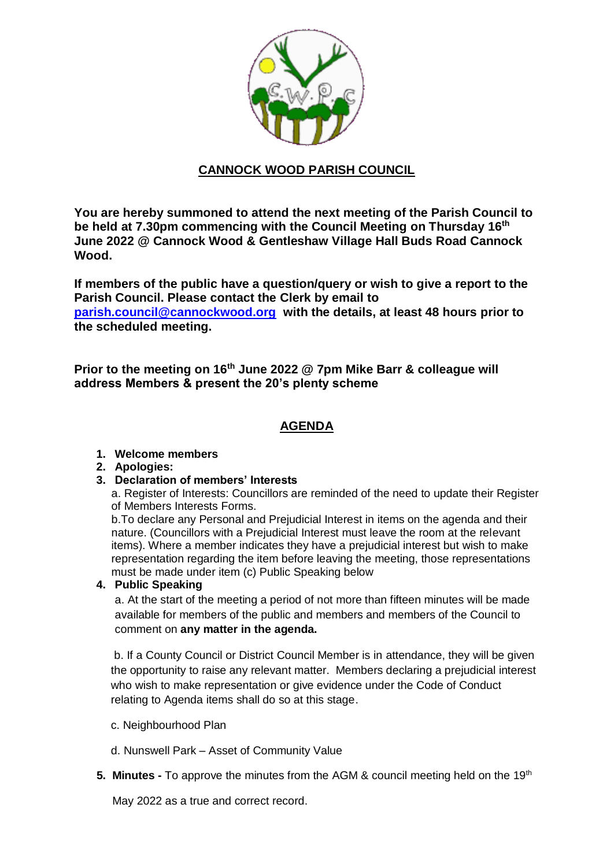

# **CANNOCK WOOD PARISH COUNCIL**

**You are hereby summoned to attend the next meeting of the Parish Council to be held at 7.30pm commencing with the Council Meeting on Thursday 16th June 2022 @ Cannock Wood & Gentleshaw Village Hall Buds Road Cannock Wood.**

**If members of the public have a question/query or wish to give a report to the Parish Council. Please contact the Clerk by email to [parish.council@cannockwood.org](mailto:parish.council@cannockwood.org) with the details, at least 48 hours prior to the scheduled meeting.**

**Prior to the meeting on 16th June 2022 @ 7pm Mike Barr & colleague will address Members & present the 20's plenty scheme**

# **AGENDA**

# **1. Welcome members**

# **2. Apologies:**

# **3. Declaration of members' Interests**

a. Register of Interests: Councillors are reminded of the need to update their Register of Members Interests Forms.

b.To declare any Personal and Prejudicial Interest in items on the agenda and their nature. (Councillors with a Prejudicial Interest must leave the room at the relevant items). Where a member indicates they have a prejudicial interest but wish to make representation regarding the item before leaving the meeting, those representations must be made under item (c) Public Speaking below

# **4. Public Speaking**

a. At the start of the meeting a period of not more than fifteen minutes will be made available for members of the public and members and members of the Council to comment on **any matter in the agenda.** 

b. If a County Council or District Council Member is in attendance, they will be given the opportunity to raise any relevant matter. Members declaring a prejudicial interest who wish to make representation or give evidence under the Code of Conduct relating to Agenda items shall do so at this stage.

- c. Neighbourhood Plan
- d. Nunswell Park Asset of Community Value
- **5. Minutes** To approve the minutes from the AGM & council meeting held on the 19<sup>th</sup>

May 2022 as a true and correct record.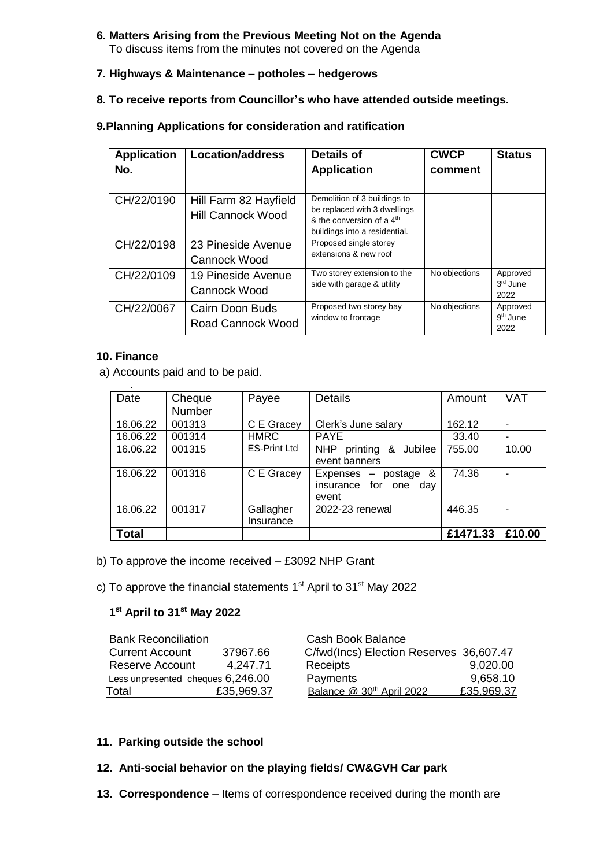#### **6. Matters Arising from the Previous Meeting Not on the Agenda** To discuss items from the minutes not covered on the Agenda

## **7. Highways & Maintenance – potholes – hedgerows**

## **8. To receive reports from Councillor's who have attended outside meetings.**

# **9.Planning Applications for consideration and ratification**

| <b>Application</b><br>No. | <b>Location/address</b>                           | <b>Details of</b><br><b>Application</b>                                                                                      | <b>CWCP</b><br>comment | <b>Status</b>                  |
|---------------------------|---------------------------------------------------|------------------------------------------------------------------------------------------------------------------------------|------------------------|--------------------------------|
| CH/22/0190                | Hill Farm 82 Hayfield<br><b>Hill Cannock Wood</b> | Demolition of 3 buildings to<br>be replaced with 3 dwellings<br>& the conversion of a $4th$<br>buildings into a residential. |                        |                                |
| CH/22/0198                | 23 Pineside Avenue<br>Cannock Wood                | Proposed single storey<br>extensions & new roof                                                                              |                        |                                |
| CH/22/0109                | 19 Pineside Avenue<br>Cannock Wood                | Two storey extension to the<br>side with garage & utility                                                                    | No objections          | Approved<br>$3rd$ June<br>2022 |
| CH/22/0067                | Cairn Doon Buds<br>Road Cannock Wood              | Proposed two storey bay<br>window to frontage                                                                                | No objections          | Approved<br>$9th$ June<br>2022 |

### **10. Finance**

a) Accounts paid and to be paid.

| Date     | Cheque        | Payee               | <b>Details</b>                         | Amount   | <b>VAT</b> |
|----------|---------------|---------------------|----------------------------------------|----------|------------|
|          | <b>Number</b> |                     |                                        |          |            |
| 16.06.22 | 001313        | C E Gracey          | Clerk's June salary                    | 162.12   |            |
| 16.06.22 | 001314        | <b>HMRC</b>         | <b>PAYE</b>                            | 33.40    |            |
| 16.06.22 | 001315        | <b>ES-Print Ltd</b> | <b>NHP</b><br>printing<br>&<br>Jubilee | 755.00   | 10.00      |
|          |               |                     | event banners                          |          |            |
| 16.06.22 | 001316        | C E Gracey          | Expenses $-$ postage &                 | 74.36    |            |
|          |               |                     | insurance for one<br>day               |          |            |
|          |               |                     | event                                  |          |            |
| 16.06.22 | 001317        | Gallagher           | 2022-23 renewal                        | 446.35   |            |
|          |               | Insurance           |                                        |          |            |
| Total    |               |                     |                                        | £1471.33 | £10.00     |

- b) To approve the income received £3092 NHP Grant
- c) To approve the financial statements 1<sup>st</sup> April to 31<sup>st</sup> May 2022

### **1 st April to 31st May 2022**

| <b>Bank Reconciliation</b>        |            | Cash Book Balance                       |            |
|-----------------------------------|------------|-----------------------------------------|------------|
| <b>Current Account</b>            | 37967.66   | C/fwd(Incs) Election Reserves 36,607.47 |            |
| Reserve Account                   | 4.247.71   | Receipts                                | 9,020.00   |
| Less unpresented cheques 6,246.00 |            | Payments                                | 9,658.10   |
| Total                             | £35,969.37 | Balance @ 30 <sup>th</sup> April 2022   | £35,969.37 |

### **11. Parking outside the school**

### **12. Anti-social behavior on the playing fields/ CW&GVH Car park**

**13. Correspondence** – Items of correspondence received during the month are